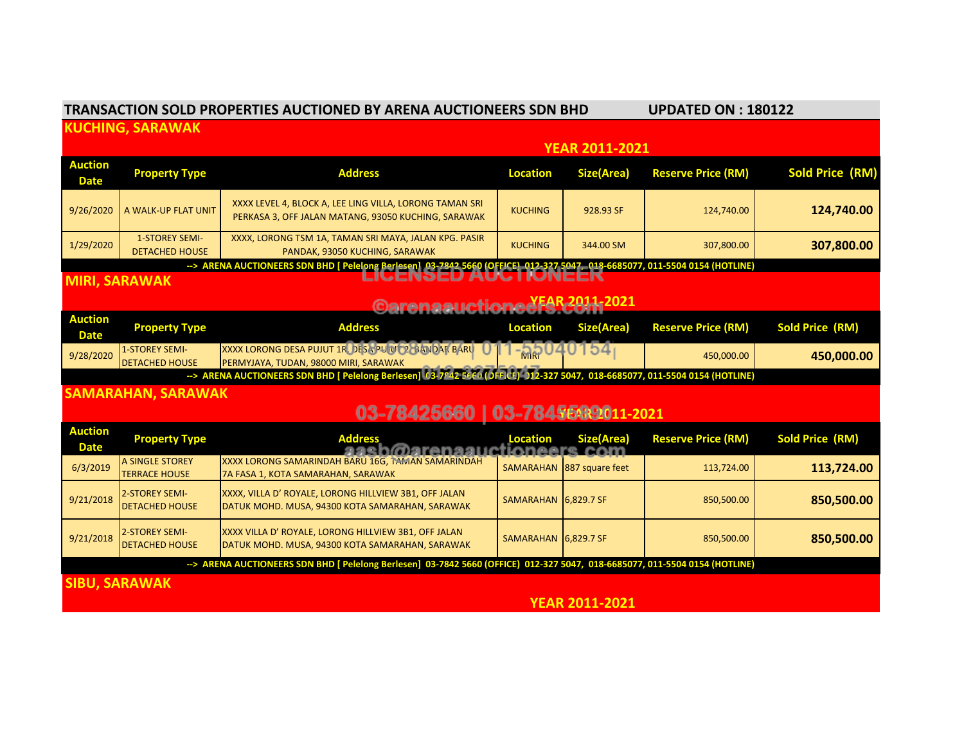|                                                                                                                                                    | <b>TRANSACTION SOLD PROPERTIES AUCTIONED BY ARENA AUCTIONEERS SDN BHD</b> | <b>UPDATED ON: 180122</b>                                                                                                   |                      |                   |                           |                        |  |  |  |  |
|----------------------------------------------------------------------------------------------------------------------------------------------------|---------------------------------------------------------------------------|-----------------------------------------------------------------------------------------------------------------------------|----------------------|-------------------|---------------------------|------------------------|--|--|--|--|
| <b>KUCHING, SARAWAK</b>                                                                                                                            |                                                                           |                                                                                                                             |                      |                   |                           |                        |  |  |  |  |
|                                                                                                                                                    |                                                                           | <b>YEAR 2011-2021</b>                                                                                                       |                      |                   |                           |                        |  |  |  |  |
| <b>Auction</b><br><b>Date</b>                                                                                                                      | <b>Property Type</b>                                                      | <b>Address</b>                                                                                                              | <b>Location</b>      | <b>Size(Area)</b> | <b>Reserve Price (RM)</b> | <b>Sold Price (RM)</b> |  |  |  |  |
| 9/26/2020                                                                                                                                          | A WALK-UP FLAT UNIT                                                       | XXXX LEVEL 4, BLOCK A, LEE LING VILLA, LORONG TAMAN SRI<br>PERKASA 3, OFF JALAN MATANG, 93050 KUCHING, SARAWAK              | <b>KUCHING</b>       | 928.93 SF         | 124,740.00                | 124,740.00             |  |  |  |  |
| 1/29/2020                                                                                                                                          | <b>1-STOREY SEMI-</b><br><b>DETACHED HOUSE</b>                            | XXXX, LORONG TSM 1A, TAMAN SRI MAYA, JALAN KPG. PASIR<br>PANDAK, 93050 KUCHING, SARAWAK                                     | <b>KUCHING</b>       | 344.00 SM         | 307,800.00                | 307,800.00             |  |  |  |  |
| --> ARENA AUCTIONEERS SDN BHD [ Pelelong Berlesen] 03-7842 5660 (OFFICE) 012-327 5047, 018-6685077, 011-5504 0154 (HOTLINE)<br>LIUENJEV AUU HUNEEK |                                                                           |                                                                                                                             |                      |                   |                           |                        |  |  |  |  |
| <b>MIRI, SARAWAK</b>                                                                                                                               |                                                                           |                                                                                                                             |                      |                   |                           |                        |  |  |  |  |
| <b>Auction</b>                                                                                                                                     | Carenaauctioneef5.com <sup>2021</sup>                                     |                                                                                                                             |                      |                   |                           |                        |  |  |  |  |
| <b>Date</b>                                                                                                                                        | <b>Property Type</b>                                                      | <b>Address</b>                                                                                                              | <b>Location</b>      | <b>Size(Area)</b> | <b>Reserve Price (RM)</b> | <b>Sold Price (RM)</b> |  |  |  |  |
| 9/28/2020                                                                                                                                          | <b>1-STOREY SEMI-</b><br><b>DETACHED HOUSE</b>                            | XXXX LORONG DESA PUJUT 1R DESA PULUT 2. BAJIDAR BARU<br>PERMYJAYA, TUDAN, 98000 MIRI, SARAWAK                               |                      | $-35040154$       | 450,000.00                | 450,000.00             |  |  |  |  |
| --> ARENA AUCTIONEERS SDN BHD [ Pelelong Berlesen] (3-7842 5660 (OFFICE) )12-327 5047, 018-6685077, 011-5504 0154 (HOTLINE)                        |                                                                           |                                                                                                                             |                      |                   |                           |                        |  |  |  |  |
| <b>SAMARAHAN, SARAWAK</b>                                                                                                                          |                                                                           |                                                                                                                             |                      |                   |                           |                        |  |  |  |  |
|                                                                                                                                                    | 03-78425660   03-7845589011-2021                                          |                                                                                                                             |                      |                   |                           |                        |  |  |  |  |
| <b>Auction</b><br><b>Date</b>                                                                                                                      | <b>Property Type</b>                                                      | <b>Address</b><br>aash@arenaauctioneers.com                                                                                 | <b>Location</b>      | Size(Area)        | <b>Reserve Price (RM)</b> | <b>Sold Price (RM)</b> |  |  |  |  |
| 6/3/2019                                                                                                                                           | A SINGLE STOREY<br><b>TERRACE HOUSE</b>                                   | XXXX LORONG SAMARINDAH BARU 16G, TAMAN SAMARINDAH<br>7A FASA 1, KOTA SAMARAHAN, SARAWAK                                     | SAMARAHAN            | 887 square feet   | 113,724.00                | 113,724.00             |  |  |  |  |
| 9/21/2018                                                                                                                                          | <b>2-STOREY SEMI-</b><br><b>DETACHED HOUSE</b>                            | XXXX, VILLA D' ROYALE, LORONG HILLVIEW 3B1, OFF JALAN<br>DATUK MOHD. MUSA, 94300 KOTA SAMARAHAN, SARAWAK                    | SAMARAHAN 6,829.7 SF |                   | 850,500.00                | 850,500.00             |  |  |  |  |
| 9/21/2018                                                                                                                                          | 2-STOREY SEMI-<br><b>DETACHED HOUSE</b>                                   | XXXX VILLA D' ROYALE, LORONG HILLVIEW 3B1, OFF JALAN<br>DATUK MOHD. MUSA, 94300 KOTA SAMARAHAN, SARAWAK                     | SAMARAHAN 6,829.7 SF |                   | 850,500.00                | 850,500.00             |  |  |  |  |
|                                                                                                                                                    |                                                                           | --> ARENA AUCTIONEERS SDN BHD [ Pelelong Berlesen] 03-7842 5660 (OFFICE) 012-327 5047, 018-6685077, 011-5504 0154 (HOTLINE) |                      |                   |                           |                        |  |  |  |  |
| <b>SIBU, SARAWAK</b>                                                                                                                               |                                                                           |                                                                                                                             |                      |                   |                           |                        |  |  |  |  |

 **YEAR 2011-2021**